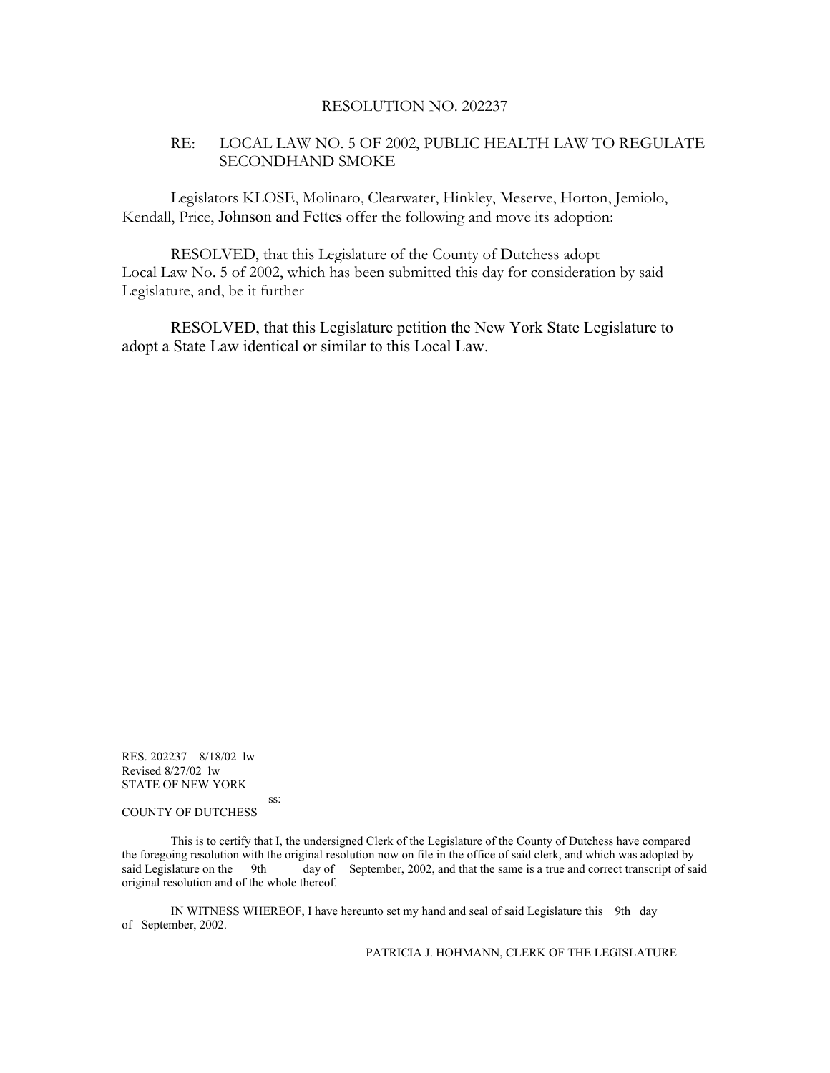#### RESOLUTION NO. 202237

#### RE: LOCAL LAW NO. 5 OF 2002, PUBLIC HEALTH LAW TO REGULATE SECONDHAND SMOKE

Legislators KLOSE, Molinaro, Clearwater, Hinkley, Meserve, Horton, Jemiolo, Kendall, Price, Johnson and Fettes offer the following and move its adoption:

 RESOLVED, that this Legislature of the County of Dutchess adopt Local Law No. 5 of 2002, which has been submitted this day for consideration by said Legislature, and, be it further

RESOLVED, that this Legislature petition the New York State Legislature to adopt a State Law identical or similar to this Local Law.

RES. 202237 8/18/02 lw Revised 8/27/02 lw STATE OF NEW YORK

#### ss: COUNTY OF DUTCHESS

 This is to certify that I, the undersigned Clerk of the Legislature of the County of Dutchess have compared the foregoing resolution with the original resolution now on file in the office of said clerk, and which was adopted by said Legislature on the 9th day of September, 2002, and that the same is a true and correct transcript of said original resolution and of the whole thereof.

 IN WITNESS WHEREOF, I have hereunto set my hand and seal of said Legislature this 9th day of September, 2002.

PATRICIA J. HOHMANN, CLERK OF THE LEGISLATURE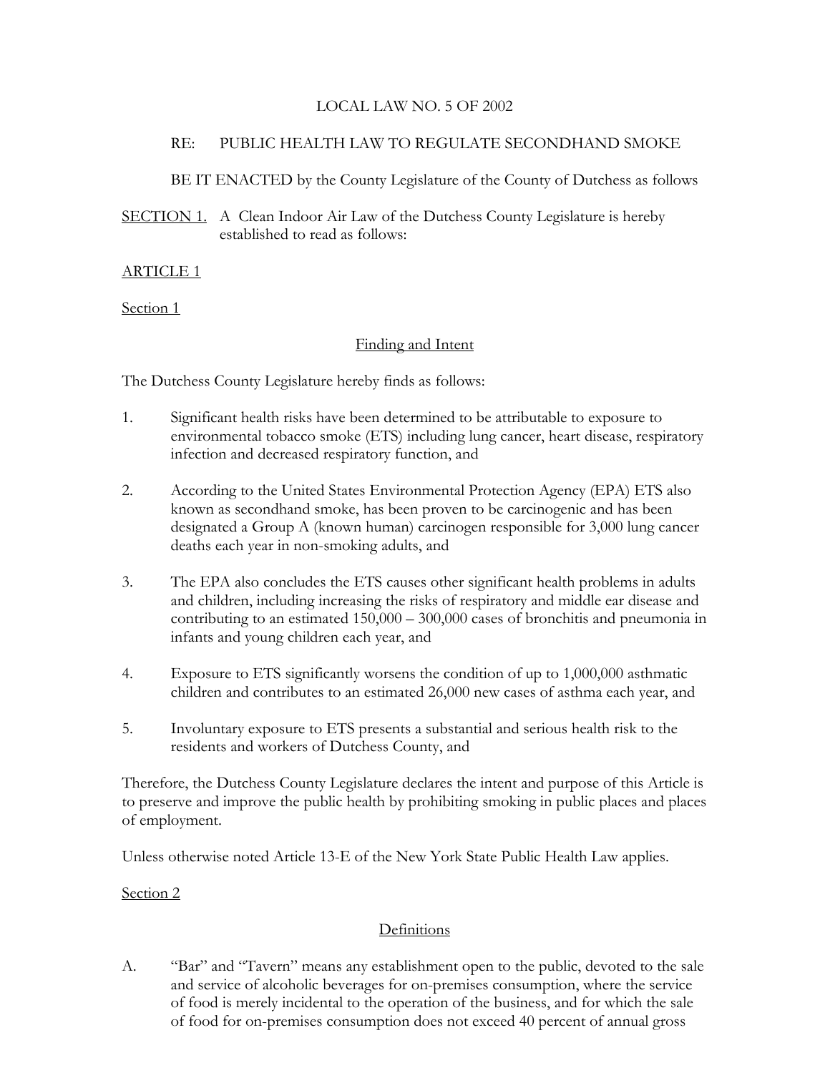### LOCAL LAW NO. 5 OF 2002

### RE: PUBLIC HEALTH LAW TO REGULATE SECONDHAND SMOKE

BE IT ENACTED by the County Legislature of the County of Dutchess as follows

SECTION 1. A Clean Indoor Air Law of the Dutchess County Legislature is hereby established to read as follows:

### ARTICLE 1

Section 1

### Finding and Intent

The Dutchess County Legislature hereby finds as follows:

- 1. Significant health risks have been determined to be attributable to exposure to environmental tobacco smoke (ETS) including lung cancer, heart disease, respiratory infection and decreased respiratory function, and
- 2. According to the United States Environmental Protection Agency (EPA) ETS also known as secondhand smoke, has been proven to be carcinogenic and has been designated a Group A (known human) carcinogen responsible for 3,000 lung cancer deaths each year in non-smoking adults, and
- 3. The EPA also concludes the ETS causes other significant health problems in adults and children, including increasing the risks of respiratory and middle ear disease and contributing to an estimated 150,000 – 300,000 cases of bronchitis and pneumonia in infants and young children each year, and
- 4. Exposure to ETS significantly worsens the condition of up to 1,000,000 asthmatic children and contributes to an estimated 26,000 new cases of asthma each year, and
- 5. Involuntary exposure to ETS presents a substantial and serious health risk to the residents and workers of Dutchess County, and

Therefore, the Dutchess County Legislature declares the intent and purpose of this Article is to preserve and improve the public health by prohibiting smoking in public places and places of employment.

Unless otherwise noted Article 13-E of the New York State Public Health Law applies.

Section 2

## Definitions

A. "Bar" and "Tavern" means any establishment open to the public, devoted to the sale and service of alcoholic beverages for on-premises consumption, where the service of food is merely incidental to the operation of the business, and for which the sale of food for on-premises consumption does not exceed 40 percent of annual gross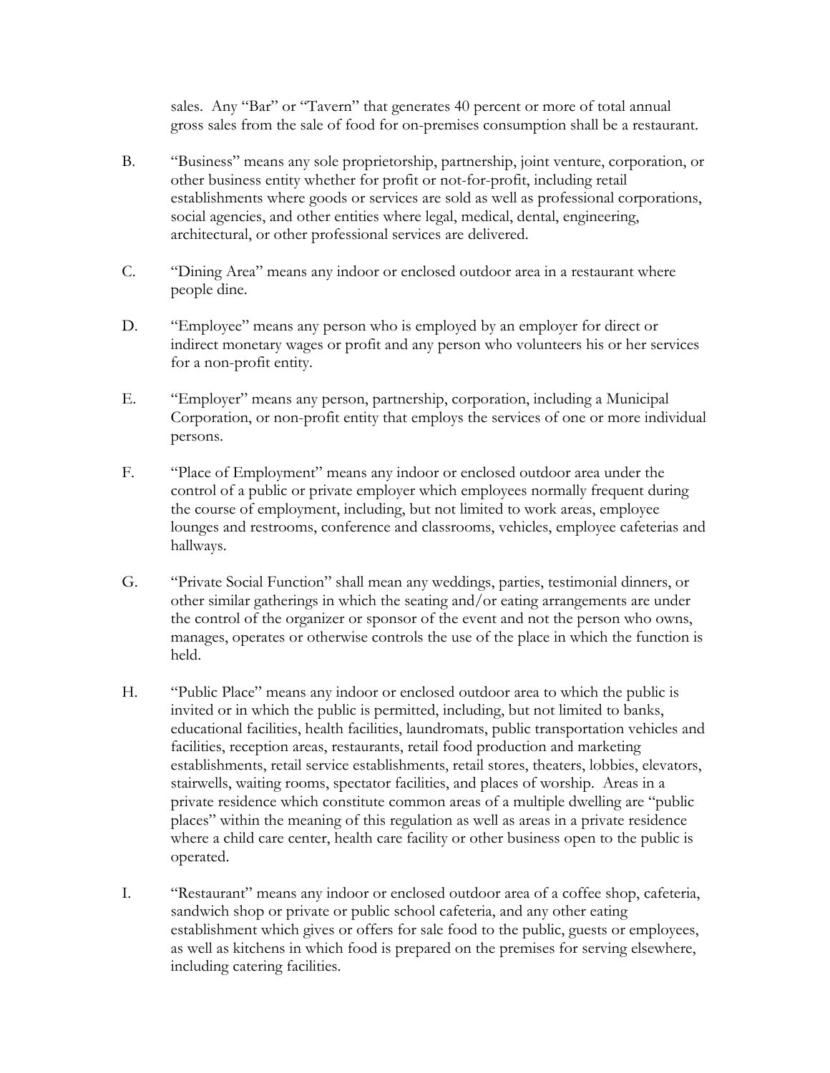sales. Any "Bar" or "Tavern" that generates 40 percent or more of total annual gross sales from the sale of food for on-premises consumption shall be a restaurant.

- B. "Business" means any sole proprietorship, partnership, joint venture, corporation, or other business entity whether for profit or not-for-profit, including retail establishments where goods or services are sold as well as professional corporations, social agencies, and other entities where legal, medical, dental, engineering, architectural, or other professional services are delivered.
- C. "Dining Area" means any indoor or enclosed outdoor area in a restaurant where people dine.
- D. "Employee" means any person who is employed by an employer for direct or indirect monetary wages or profit and any person who volunteers his or her services for a non-profit entity.
- E. "Employer" means any person, partnership, corporation, including a Municipal Corporation, or non-profit entity that employs the services of one or more individual persons.
- F. "Place of Employment" means any indoor or enclosed outdoor area under the control of a public or private employer which employees normally frequent during the course of employment, including, but not limited to work areas, employee lounges and restrooms, conference and classrooms, vehicles, employee cafeterias and hallways.
- G. "Private Social Function" shall mean any weddings, parties, testimonial dinners, or other similar gatherings in which the seating and/or eating arrangements are under the control of the organizer or sponsor of the event and not the person who owns, manages, operates or otherwise controls the use of the place in which the function is held.
- H. "Public Place" means any indoor or enclosed outdoor area to which the public is invited or in which the public is permitted, including, but not limited to banks, educational facilities, health facilities, laundromats, public transportation vehicles and facilities, reception areas, restaurants, retail food production and marketing establishments, retail service establishments, retail stores, theaters, lobbies, elevators, stairwells, waiting rooms, spectator facilities, and places of worship. Areas in a private residence which constitute common areas of a multiple dwelling are "public places" within the meaning of this regulation as well as areas in a private residence where a child care center, health care facility or other business open to the public is operated.
- I. "Restaurant" means any indoor or enclosed outdoor area of a coffee shop, cafeteria, sandwich shop or private or public school cafeteria, and any other eating establishment which gives or offers for sale food to the public, guests or employees, as well as kitchens in which food is prepared on the premises for serving elsewhere, including catering facilities.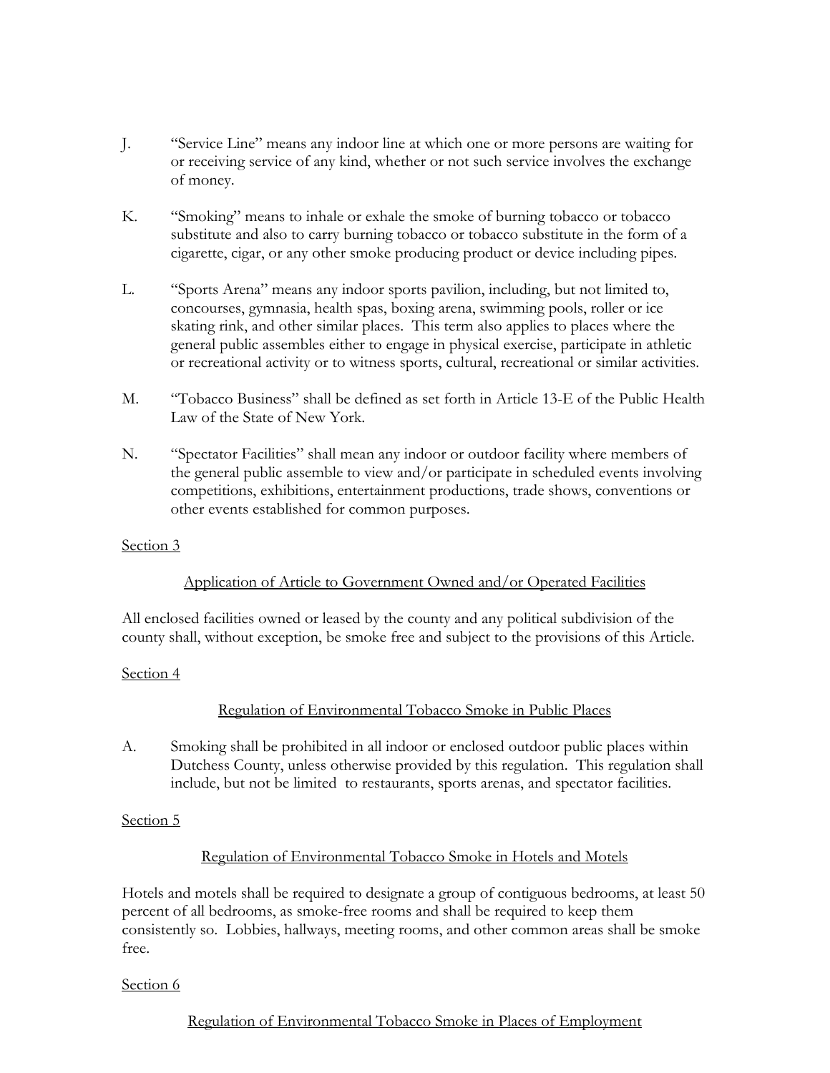- J. "Service Line" means any indoor line at which one or more persons are waiting for or receiving service of any kind, whether or not such service involves the exchange of money.
- K. "Smoking" means to inhale or exhale the smoke of burning tobacco or tobacco substitute and also to carry burning tobacco or tobacco substitute in the form of a cigarette, cigar, or any other smoke producing product or device including pipes.
- L. "Sports Arena" means any indoor sports pavilion, including, but not limited to, concourses, gymnasia, health spas, boxing arena, swimming pools, roller or ice skating rink, and other similar places. This term also applies to places where the general public assembles either to engage in physical exercise, participate in athletic or recreational activity or to witness sports, cultural, recreational or similar activities.
- M. "Tobacco Business" shall be defined as set forth in Article 13-E of the Public Health Law of the State of New York.
- N. "Spectator Facilities" shall mean any indoor or outdoor facility where members of the general public assemble to view and/or participate in scheduled events involving competitions, exhibitions, entertainment productions, trade shows, conventions or other events established for common purposes.

### Application of Article to Government Owned and/or Operated Facilities

All enclosed facilities owned or leased by the county and any political subdivision of the county shall, without exception, be smoke free and subject to the provisions of this Article.

#### Section 4

### Regulation of Environmental Tobacco Smoke in Public Places

A. Smoking shall be prohibited in all indoor or enclosed outdoor public places within Dutchess County, unless otherwise provided by this regulation. This regulation shall include, but not be limited to restaurants, sports arenas, and spectator facilities.

### Section 5

### Regulation of Environmental Tobacco Smoke in Hotels and Motels

Hotels and motels shall be required to designate a group of contiguous bedrooms, at least 50 percent of all bedrooms, as smoke-free rooms and shall be required to keep them consistently so. Lobbies, hallways, meeting rooms, and other common areas shall be smoke free.

### Section 6

Regulation of Environmental Tobacco Smoke in Places of Employment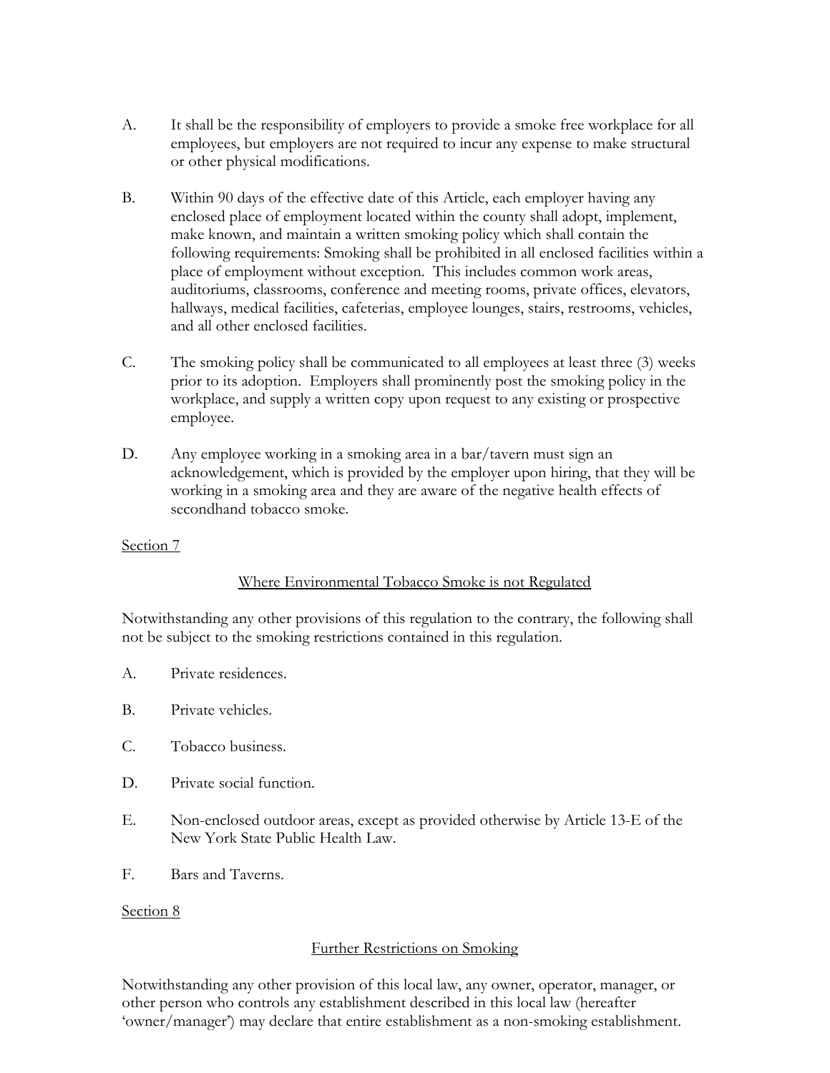- A. It shall be the responsibility of employers to provide a smoke free workplace for all employees, but employers are not required to incur any expense to make structural or other physical modifications.
- B. Within 90 days of the effective date of this Article, each employer having any enclosed place of employment located within the county shall adopt, implement, make known, and maintain a written smoking policy which shall contain the following requirements: Smoking shall be prohibited in all enclosed facilities within a place of employment without exception. This includes common work areas, auditoriums, classrooms, conference and meeting rooms, private offices, elevators, hallways, medical facilities, cafeterias, employee lounges, stairs, restrooms, vehicles, and all other enclosed facilities.
- C. The smoking policy shall be communicated to all employees at least three (3) weeks prior to its adoption. Employers shall prominently post the smoking policy in the workplace, and supply a written copy upon request to any existing or prospective employee.
- D. Any employee working in a smoking area in a bar/tavern must sign an acknowledgement, which is provided by the employer upon hiring, that they will be working in a smoking area and they are aware of the negative health effects of secondhand tobacco smoke.

### Where Environmental Tobacco Smoke is not Regulated

Notwithstanding any other provisions of this regulation to the contrary, the following shall not be subject to the smoking restrictions contained in this regulation.

- A. Private residences.
- B. Private vehicles.
- C. Tobacco business.
- D. Private social function.
- E. Non-enclosed outdoor areas, except as provided otherwise by Article 13-E of the New York State Public Health Law.
- F. Bars and Taverns.

#### Section 8

#### Further Restrictions on Smoking

Notwithstanding any other provision of this local law, any owner, operator, manager, or other person who controls any establishment described in this local law (hereafter 'owner/manager') may declare that entire establishment as a non-smoking establishment.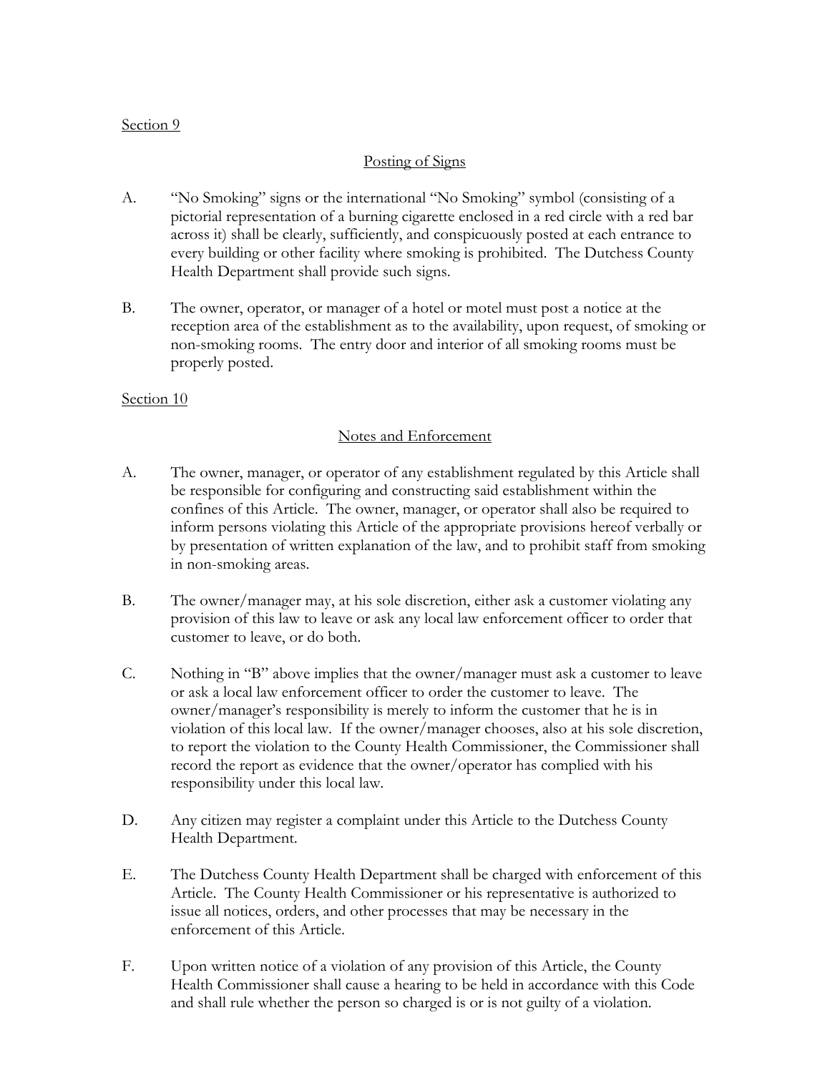### Posting of Signs

- A. "No Smoking" signs or the international "No Smoking" symbol (consisting of a pictorial representation of a burning cigarette enclosed in a red circle with a red bar across it) shall be clearly, sufficiently, and conspicuously posted at each entrance to every building or other facility where smoking is prohibited. The Dutchess County Health Department shall provide such signs.
- B. The owner, operator, or manager of a hotel or motel must post a notice at the reception area of the establishment as to the availability, upon request, of smoking or non-smoking rooms. The entry door and interior of all smoking rooms must be properly posted.

### Section 10

### Notes and Enforcement

- A. The owner, manager, or operator of any establishment regulated by this Article shall be responsible for configuring and constructing said establishment within the confines of this Article. The owner, manager, or operator shall also be required to inform persons violating this Article of the appropriate provisions hereof verbally or by presentation of written explanation of the law, and to prohibit staff from smoking in non-smoking areas.
- B. The owner/manager may, at his sole discretion, either ask a customer violating any provision of this law to leave or ask any local law enforcement officer to order that customer to leave, or do both.
- C. Nothing in "B" above implies that the owner/manager must ask a customer to leave or ask a local law enforcement officer to order the customer to leave. The owner/manager's responsibility is merely to inform the customer that he is in violation of this local law. If the owner/manager chooses, also at his sole discretion, to report the violation to the County Health Commissioner, the Commissioner shall record the report as evidence that the owner/operator has complied with his responsibility under this local law.
- D. Any citizen may register a complaint under this Article to the Dutchess County Health Department.
- E. The Dutchess County Health Department shall be charged with enforcement of this Article. The County Health Commissioner or his representative is authorized to issue all notices, orders, and other processes that may be necessary in the enforcement of this Article.
- F. Upon written notice of a violation of any provision of this Article, the County Health Commissioner shall cause a hearing to be held in accordance with this Code and shall rule whether the person so charged is or is not guilty of a violation.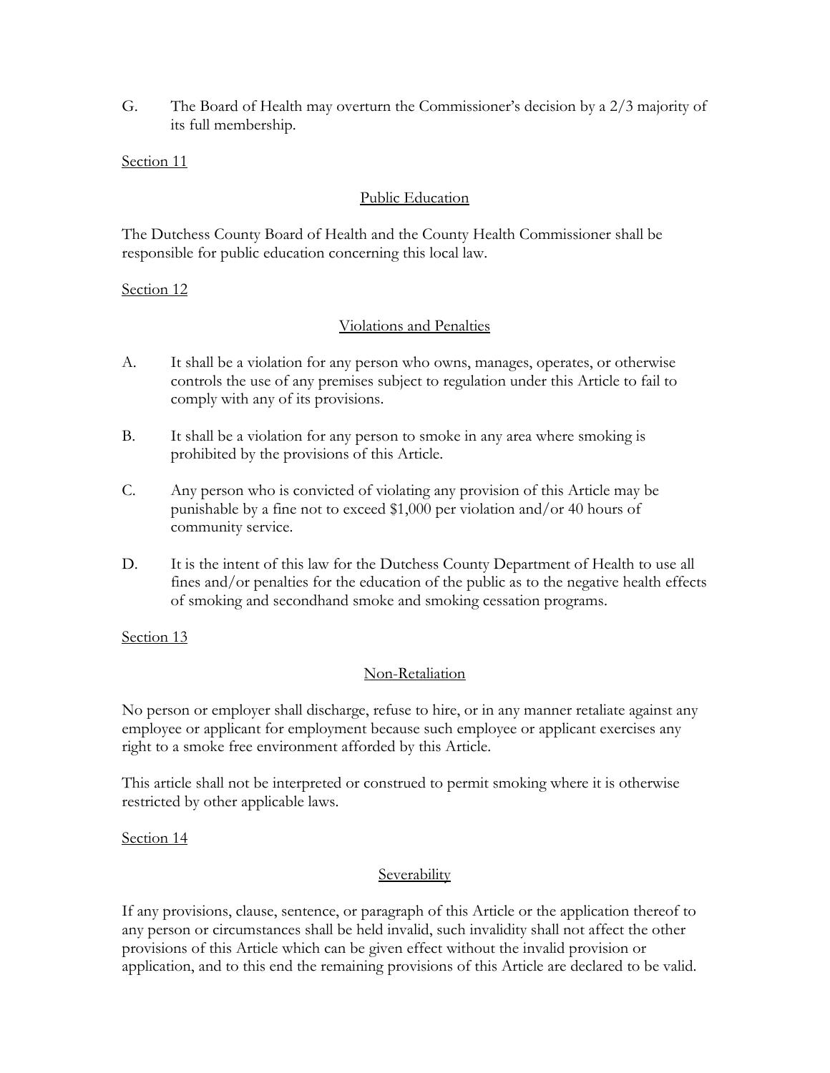G. The Board of Health may overturn the Commissioner's decision by a 2/3 majority of its full membership.

### Section 11

### Public Education

The Dutchess County Board of Health and the County Health Commissioner shall be responsible for public education concerning this local law.

### Section 12

### Violations and Penalties

- A. It shall be a violation for any person who owns, manages, operates, or otherwise controls the use of any premises subject to regulation under this Article to fail to comply with any of its provisions.
- B. It shall be a violation for any person to smoke in any area where smoking is prohibited by the provisions of this Article.
- C. Any person who is convicted of violating any provision of this Article may be punishable by a fine not to exceed \$1,000 per violation and/or 40 hours of community service.
- D. It is the intent of this law for the Dutchess County Department of Health to use all fines and/or penalties for the education of the public as to the negative health effects of smoking and secondhand smoke and smoking cessation programs.

Section 13

### Non-Retaliation

No person or employer shall discharge, refuse to hire, or in any manner retaliate against any employee or applicant for employment because such employee or applicant exercises any right to a smoke free environment afforded by this Article.

This article shall not be interpreted or construed to permit smoking where it is otherwise restricted by other applicable laws.

Section 14

### **Severability**

If any provisions, clause, sentence, or paragraph of this Article or the application thereof to any person or circumstances shall be held invalid, such invalidity shall not affect the other provisions of this Article which can be given effect without the invalid provision or application, and to this end the remaining provisions of this Article are declared to be valid.